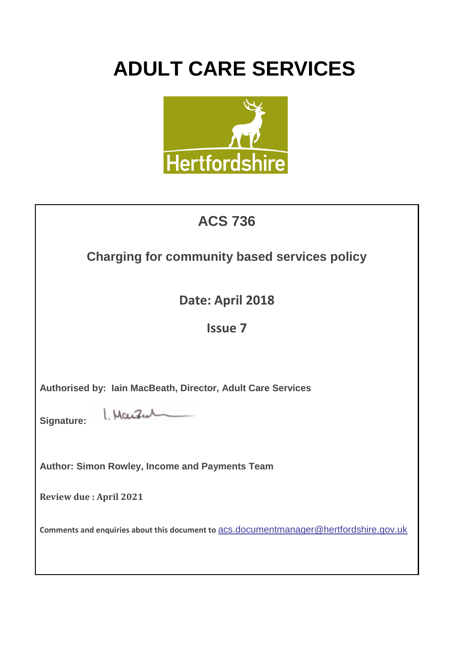# **ADULT CARE SERVICES**



| <b>ACS 736</b>                                                                         |  |  |  |  |
|----------------------------------------------------------------------------------------|--|--|--|--|
| <b>Charging for community based services policy</b>                                    |  |  |  |  |
| Date: April 2018                                                                       |  |  |  |  |
| <b>Issue 7</b>                                                                         |  |  |  |  |
|                                                                                        |  |  |  |  |
| Authorised by: Iain MacBeath, Director, Adult Care Services                            |  |  |  |  |
| 1. Maisul<br>Signature:                                                                |  |  |  |  |
|                                                                                        |  |  |  |  |
| <b>Author: Simon Rowley, Income and Payments Team</b>                                  |  |  |  |  |
| <b>Review due: April 2021</b>                                                          |  |  |  |  |
| Comments and enquiries about this document to acs.documentmanager@hertfordshire.gov.uk |  |  |  |  |
|                                                                                        |  |  |  |  |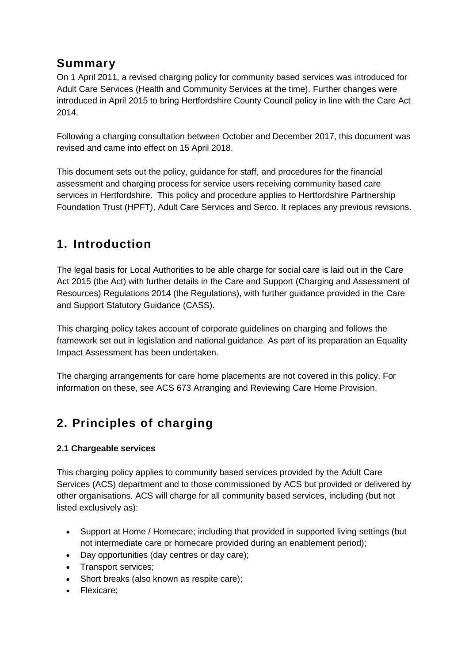# **Summary**

On 1 April 2011, a revised charging policy for community based services was introduced for Adult Care Services (Health and Community Services at the time). Further changes were introduced in April 2015 to bring Hertfordshire County Council policy in line with the Care Act 2014.

Following a charging consultation between October and December 2017, this document was revised and came into effect on 15 April 2018.

This document sets out the policy, guidance for staff, and procedures for the financial assessment and charging process for service users receiving community based care services in Hertfordshire. This policy and procedure applies to Hertfordshire Partnership Foundation Trust (HPFT), Adult Care Services and Serco. It replaces any previous revisions.

# **1. Introduction**

The legal basis for Local Authorities to be able charge for social care is laid out in the Care Act 2015 (the Act) with further details in the Care and Support (Charging and Assessment of Resources) Regulations 2014 (the Regulations), with further guidance provided in the Care and Support Statutory Guidance (CASS).

This charging policy takes account of corporate guidelines on charging and follows the framework set out in legislation and national guidance. As part of its preparation an Equality Impact Assessment has been undertaken.

The charging arrangements for care home placements are not covered in this policy. For information on these, see ACS 673 Arranging and Reviewing Care Home Provision.

# **2. Principles of charging**

#### **2.1 Chargeable services**

This charging policy applies to community based services provided by the Adult Care Services (ACS) department and to those commissioned by ACS but provided or delivered by other organisations. ACS will charge for all community based services, including (but not listed exclusively as):

- Support at Home / Homecare; including that provided in supported living settings (but not intermediate care or homecare provided during an enablement period);
- Day opportunities (day centres or day care);
- Transport services:
- Short breaks (also known as respite care):
- Flexicare;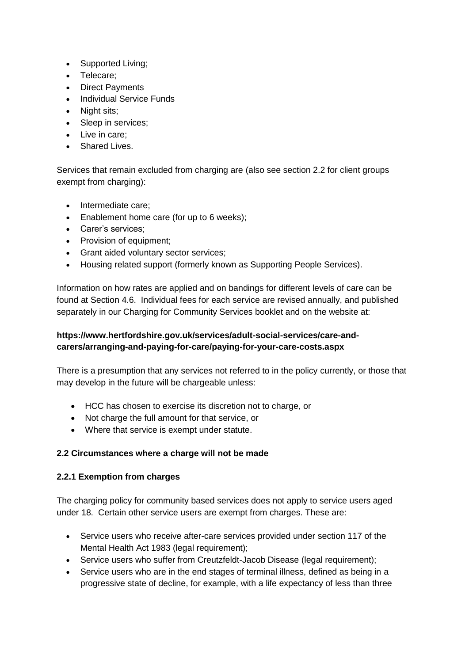- Supported Living;
- Telecare:
- Direct Payments
- Individual Service Funds
- Night sits:
- Sleep in services;
- Live in care:
- Shared Lives.

Services that remain excluded from charging are (also see section 2.2 for client groups exempt from charging):

- Intermediate care:
- Enablement home care (for up to 6 weeks);
- Carer's services:
- Provision of equipment;
- Grant aided voluntary sector services;
- Housing related support (formerly known as Supporting People Services).

Information on how rates are applied and on bandings for different levels of care can be found at Section 4.6. Individual fees for each service are revised annually, and published separately in our Charging for Community Services booklet and on the website at:

#### **[https://www.hertfordshire.gov.uk/services/adult-social-services/care-and](https://www.hertfordshire.gov.uk/services/adult-social-services/care-and-carers/arranging-and-paying-for-care/paying-for-your-care-costs.aspx)[carers/arranging-and-paying-for-care/paying-for-your-care-costs.aspx](https://www.hertfordshire.gov.uk/services/adult-social-services/care-and-carers/arranging-and-paying-for-care/paying-for-your-care-costs.aspx)**

There is a presumption that any services not referred to in the policy currently, or those that may develop in the future will be chargeable unless:

- HCC has chosen to exercise its discretion not to charge, or
- Not charge the full amount for that service, or
- Where that service is exempt under statute.

#### **2.2 Circumstances where a charge will not be made**

#### **2.2.1 Exemption from charges**

The charging policy for community based services does not apply to service users aged under 18. Certain other service users are exempt from charges. These are:

- Service users who receive after-care services provided under section 117 of the Mental Health Act 1983 (legal requirement):
- Service users who suffer from Creutzfeldt-Jacob Disease (legal requirement);
- Service users who are in the end stages of terminal illness, defined as being in a progressive state of decline, for example, with a life expectancy of less than three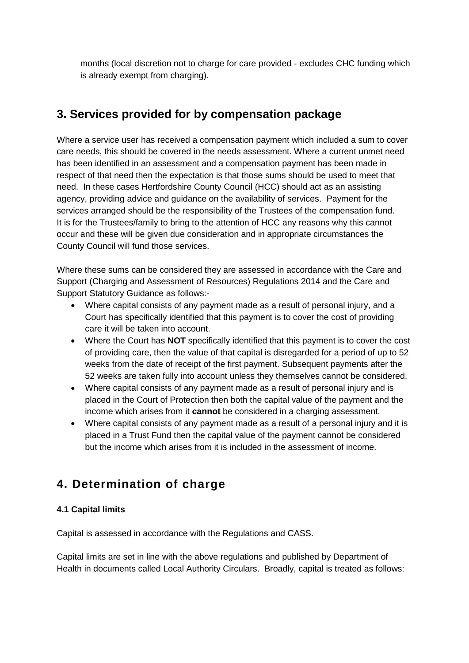months (local discretion not to charge for care provided - excludes CHC funding which is already exempt from charging).

### **3. Services provided for by compensation package**

Where a service user has received a compensation payment which included a sum to cover care needs, this should be covered in the needs assessment. Where a current unmet need has been identified in an assessment and a compensation payment has been made in respect of that need then the expectation is that those sums should be used to meet that need. In these cases Hertfordshire County Council (HCC) should act as an assisting agency, providing advice and guidance on the availability of services. Payment for the services arranged should be the responsibility of the Trustees of the compensation fund. It is for the Trustees/family to bring to the attention of HCC any reasons why this cannot occur and these will be given due consideration and in appropriate circumstances the County Council will fund those services.

Where these sums can be considered they are assessed in accordance with the Care and Support (Charging and Assessment of Resources) Regulations 2014 and the Care and Support Statutory Guidance as follows:-

- Where capital consists of any payment made as a result of personal injury, and a Court has specifically identified that this payment is to cover the cost of providing care it will be taken into account.
- Where the Court has **NOT** specifically identified that this payment is to cover the cost of providing care, then the value of that capital is disregarded for a period of up to 52 weeks from the date of receipt of the first payment. Subsequent payments after the 52 weeks are taken fully into account unless they themselves cannot be considered.
- Where capital consists of any payment made as a result of personal injury and is placed in the Court of Protection then both the capital value of the payment and the income which arises from it **cannot** be considered in a charging assessment.
- Where capital consists of any payment made as a result of a personal injury and it is placed in a Trust Fund then the capital value of the payment cannot be considered but the income which arises from it is included in the assessment of income.

# **4. Determination of charge**

#### **4.1 Capital limits**

Capital is assessed in accordance with the Regulations and CASS.

Capital limits are set in line with the above regulations and published by Department of Health in documents called Local Authority Circulars. Broadly, capital is treated as follows: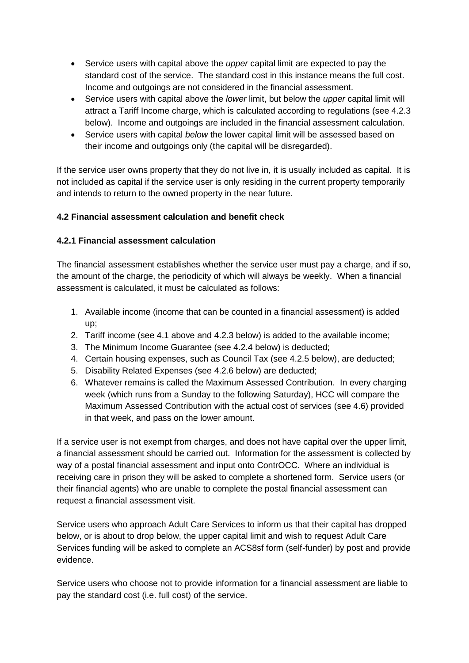- Service users with capital above the *upper* capital limit are expected to pay the standard cost of the service. The standard cost in this instance means the full cost. Income and outgoings are not considered in the financial assessment.
- Service users with capital above the *lower* limit, but below the *upper* capital limit will attract a Tariff Income charge, which is calculated according to regulations (see 4.2.3 below). Income and outgoings are included in the financial assessment calculation.
- Service users with capital *below* the lower capital limit will be assessed based on their income and outgoings only (the capital will be disregarded).

If the service user owns property that they do not live in, it is usually included as capital. It is not included as capital if the service user is only residing in the current property temporarily and intends to return to the owned property in the near future.

#### **4.2 Financial assessment calculation and benefit check**

#### **4.2.1 Financial assessment calculation**

The financial assessment establishes whether the service user must pay a charge, and if so, the amount of the charge, the periodicity of which will always be weekly. When a financial assessment is calculated, it must be calculated as follows:

- 1. Available income (income that can be counted in a financial assessment) is added up;
- 2. Tariff income (see 4.1 above and 4.2.3 below) is added to the available income;
- 3. The Minimum Income Guarantee (see 4.2.4 below) is deducted;
- 4. Certain housing expenses, such as Council Tax (see 4.2.5 below), are deducted;
- 5. Disability Related Expenses (see 4.2.6 below) are deducted;
- 6. Whatever remains is called the Maximum Assessed Contribution. In every charging week (which runs from a Sunday to the following Saturday), HCC will compare the Maximum Assessed Contribution with the actual cost of services (see 4.6) provided in that week, and pass on the lower amount.

If a service user is not exempt from charges, and does not have capital over the upper limit, a financial assessment should be carried out. Information for the assessment is collected by way of a postal financial assessment and input onto ContrOCC. Where an individual is receiving care in prison they will be asked to complete a shortened form. Service users (or their financial agents) who are unable to complete the postal financial assessment can request a financial assessment visit.

Service users who approach Adult Care Services to inform us that their capital has dropped below, or is about to drop below, the upper capital limit and wish to request Adult Care Services funding will be asked to complete an ACS8sf form (self-funder) by post and provide evidence.

Service users who choose not to provide information for a financial assessment are liable to pay the standard cost (i.e. full cost) of the service.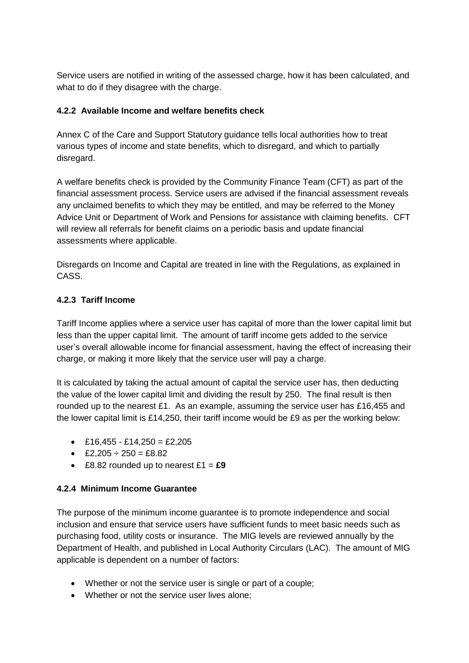Service users are notified in writing of the assessed charge, how it has been calculated, and what to do if they disagree with the charge.

#### **4.2.2 Available Income and welfare benefits check**

Annex C of the Care and Support Statutory guidance tells local authorities how to treat various types of income and state benefits, which to disregard, and which to partially disregard.

A welfare benefits check is provided by the Community Finance Team (CFT) as part of the financial assessment process. Service users are advised if the financial assessment reveals any unclaimed benefits to which they may be entitled, and may be referred to the Money Advice Unit or Department of Work and Pensions for assistance with claiming benefits. CFT will review all referrals for benefit claims on a periodic basis and update financial assessments where applicable.

Disregards on Income and Capital are treated in line with the Regulations, as explained in CASS.

#### **4.2.3 Tariff Income**

Tariff Income applies where a service user has capital of more than the lower capital limit but less than the upper capital limit. The amount of tariff income gets added to the service user's overall allowable income for financial assessment, having the effect of increasing their charge, or making it more likely that the service user will pay a charge.

It is calculated by taking the actual amount of capital the service user has, then deducting the value of the lower capital limit and dividing the result by 250. The final result is then rounded up to the nearest £1. As an example, assuming the service user has £16,455 and the lower capital limit is £14,250, their tariff income would be £9 as per the working below:

- $\text{\textdegree}$  £16,455 £14,250 = £2,205
- $\text{£}2.205 \div 250 = \text{£}8.82$
- £8.82 rounded up to nearest £1 = **£9**

#### **4.2.4 Minimum Income Guarantee**

The purpose of the minimum income guarantee is to promote independence and social inclusion and ensure that service users have sufficient funds to meet basic needs such as purchasing food, utility costs or insurance. The MIG levels are reviewed annually by the Department of Health, and published in Local Authority Circulars (LAC). The amount of MIG applicable is dependent on a number of factors:

- Whether or not the service user is single or part of a couple:
- Whether or not the service user lives alone: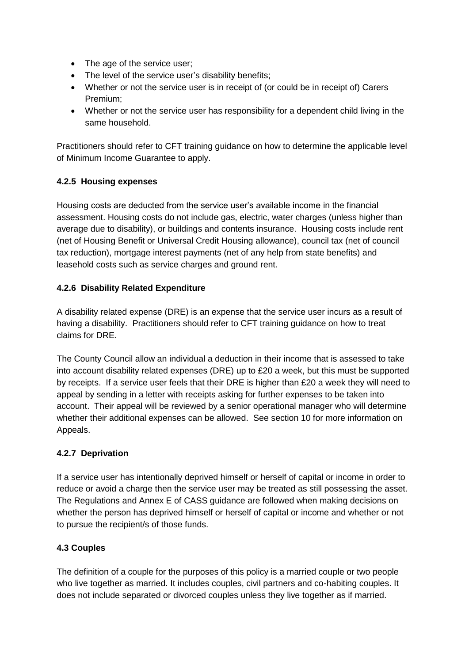- The age of the service user;
- The level of the service user's disability benefits;
- Whether or not the service user is in receipt of (or could be in receipt of) Carers Premium;
- Whether or not the service user has responsibility for a dependent child living in the same household.

Practitioners should refer to CFT training guidance on how to determine the applicable level of Minimum Income Guarantee to apply.

#### **4.2.5 Housing expenses**

Housing costs are deducted from the service user's available income in the financial assessment. Housing costs do not include gas, electric, water charges (unless higher than average due to disability), or buildings and contents insurance. Housing costs include rent (net of Housing Benefit or Universal Credit Housing allowance), council tax (net of council tax reduction), mortgage interest payments (net of any help from state benefits) and leasehold costs such as service charges and ground rent.

#### **4.2.6 Disability Related Expenditure**

A disability related expense (DRE) is an expense that the service user incurs as a result of having a disability. Practitioners should refer to CFT training guidance on how to treat claims for DRE.

The County Council allow an individual a deduction in their income that is assessed to take into account disability related expenses (DRE) up to £20 a week, but this must be supported by receipts. If a service user feels that their DRE is higher than £20 a week they will need to appeal by sending in a letter with receipts asking for further expenses to be taken into account. Their appeal will be reviewed by a senior operational manager who will determine whether their additional expenses can be allowed. See section 10 for more information on Appeals.

#### **4.2.7 Deprivation**

If a service user has intentionally deprived himself or herself of capital or income in order to reduce or avoid a charge then the service user may be treated as still possessing the asset. The Regulations and Annex E of CASS guidance are followed when making decisions on whether the person has deprived himself or herself of capital or income and whether or not to pursue the recipient/s of those funds.

#### **4.3 Couples**

The definition of a couple for the purposes of this policy is a married couple or two people who live together as married. It includes couples, civil partners and co-habiting couples. It does not include separated or divorced couples unless they live together as if married.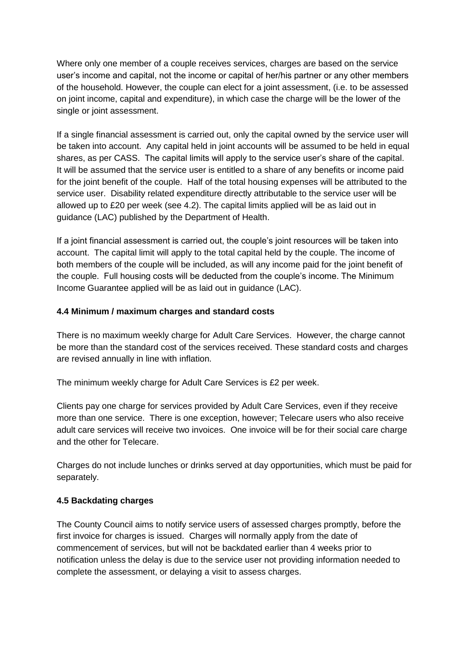Where only one member of a couple receives services, charges are based on the service user's income and capital, not the income or capital of her/his partner or any other members of the household. However, the couple can elect for a joint assessment, (i.e. to be assessed on joint income, capital and expenditure), in which case the charge will be the lower of the single or joint assessment.

If a single financial assessment is carried out, only the capital owned by the service user will be taken into account. Any capital held in joint accounts will be assumed to be held in equal shares, as per CASS. The capital limits will apply to the service user's share of the capital. It will be assumed that the service user is entitled to a share of any benefits or income paid for the joint benefit of the couple. Half of the total housing expenses will be attributed to the service user. Disability related expenditure directly attributable to the service user will be allowed up to £20 per week (see 4.2). The capital limits applied will be as laid out in guidance (LAC) published by the Department of Health.

If a joint financial assessment is carried out, the couple's joint resources will be taken into account. The capital limit will apply to the total capital held by the couple. The income of both members of the couple will be included, as will any income paid for the joint benefit of the couple. Full housing costs will be deducted from the couple's income. The Minimum Income Guarantee applied will be as laid out in guidance (LAC).

#### **4.4 Minimum / maximum charges and standard costs**

There is no maximum weekly charge for Adult Care Services. However, the charge cannot be more than the standard cost of the services received. These standard costs and charges are revised annually in line with inflation.

The minimum weekly charge for Adult Care Services is £2 per week.

Clients pay one charge for services provided by Adult Care Services, even if they receive more than one service. There is one exception, however; Telecare users who also receive adult care services will receive two invoices. One invoice will be for their social care charge and the other for Telecare.

Charges do not include lunches or drinks served at day opportunities, which must be paid for separately.

#### **4.5 Backdating charges**

The County Council aims to notify service users of assessed charges promptly, before the first invoice for charges is issued. Charges will normally apply from the date of commencement of services, but will not be backdated earlier than 4 weeks prior to notification unless the delay is due to the service user not providing information needed to complete the assessment, or delaying a visit to assess charges.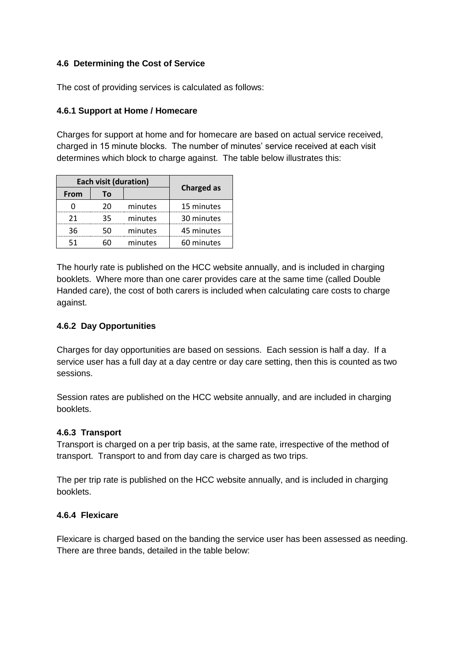#### **4.6 Determining the Cost of Service**

The cost of providing services is calculated as follows:

#### **4.6.1 Support at Home / Homecare**

Charges for support at home and for homecare are based on actual service received, charged in 15 minute blocks. The number of minutes' service received at each visit determines which block to charge against. The table below illustrates this:

| <b>Each visit (duration)</b> |    |         |                   |
|------------------------------|----|---------|-------------------|
| From                         | Тο |         | <b>Charged as</b> |
|                              | 20 | minutes | 15 minutes        |
| 21                           | 35 | minutes | 30 minutes        |
| 36                           |    | minutes | 45 minutes        |
|                              |    | minutes | 60 minutes        |

The hourly rate is published on the HCC website annually, and is included in charging booklets. Where more than one carer provides care at the same time (called Double Handed care), the cost of both carers is included when calculating care costs to charge against.

#### **4.6.2 Day Opportunities**

Charges for day opportunities are based on sessions. Each session is half a day. If a service user has a full day at a day centre or day care setting, then this is counted as two sessions.

Session rates are published on the HCC website annually, and are included in charging booklets.

#### **4.6.3 Transport**

Transport is charged on a per trip basis, at the same rate, irrespective of the method of transport. Transport to and from day care is charged as two trips.

The per trip rate is published on the HCC website annually, and is included in charging booklets.

#### **4.6.4 Flexicare**

Flexicare is charged based on the banding the service user has been assessed as needing. There are three bands, detailed in the table below: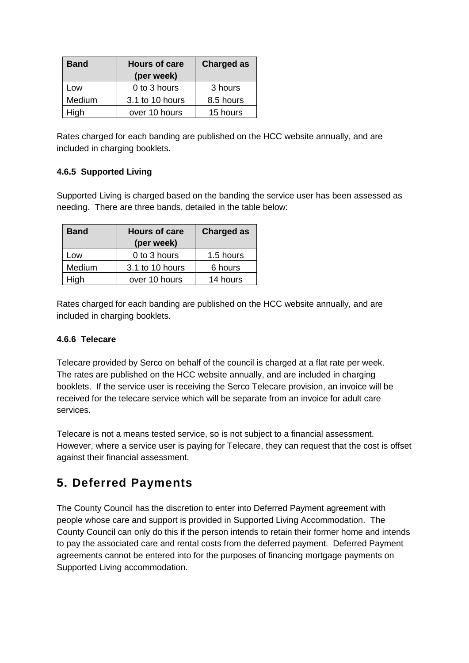| <b>Band</b> | <b>Hours of care</b> | <b>Charged as</b> |
|-------------|----------------------|-------------------|
|             | (per week)           |                   |
| Low         | 0 to 3 hours         | 3 hours           |
| Medium      | 3.1 to 10 hours      | 8.5 hours         |
| High        | over 10 hours        | 15 hours          |

Rates charged for each banding are published on the HCC website annually, and are included in charging booklets.

#### **4.6.5 Supported Living**

Supported Living is charged based on the banding the service user has been assessed as needing. There are three bands, detailed in the table below:

| <b>Band</b> | <b>Hours of care</b> | <b>Charged as</b> |
|-------------|----------------------|-------------------|
|             | (per week)           |                   |
| LOW         | 0 to 3 hours         | 1.5 hours         |
| Medium      | 3.1 to 10 hours      | 6 hours           |
| High        | over 10 hours        | 14 hours          |

Rates charged for each banding are published on the HCC website annually, and are included in charging booklets.

#### **4.6.6 Telecare**

Telecare provided by Serco on behalf of the council is charged at a flat rate per week. The rates are published on the HCC website annually, and are included in charging booklets. If the service user is receiving the Serco Telecare provision, an invoice will be received for the telecare service which will be separate from an invoice for adult care services.

Telecare is not a means tested service, so is not subject to a financial assessment. However, where a service user is paying for Telecare, they can request that the cost is offset against their financial assessment.

# **5. Deferred Payments**

The County Council has the discretion to enter into Deferred Payment agreement with people whose care and support is provided in Supported Living Accommodation. The County Council can only do this if the person intends to retain their former home and intends to pay the associated care and rental costs from the deferred payment. Deferred Payment agreements cannot be entered into for the purposes of financing mortgage payments on Supported Living accommodation.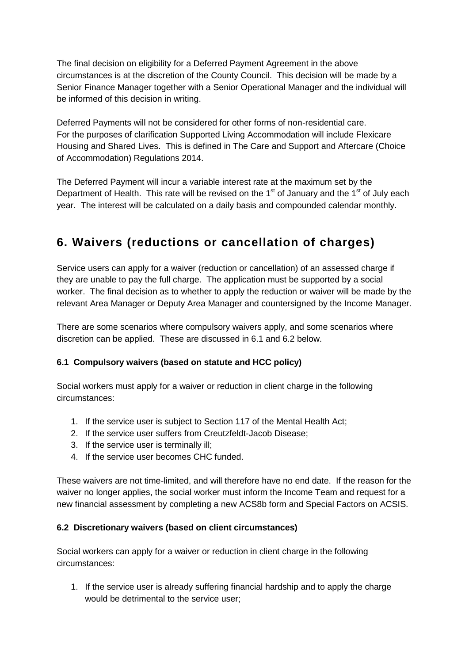The final decision on eligibility for a Deferred Payment Agreement in the above circumstances is at the discretion of the County Council. This decision will be made by a Senior Finance Manager together with a Senior Operational Manager and the individual will be informed of this decision in writing.

Deferred Payments will not be considered for other forms of non-residential care. For the purposes of clarification Supported Living Accommodation will include Flexicare Housing and Shared Lives. This is defined in The Care and Support and Aftercare (Choice of Accommodation) Regulations 2014.

The Deferred Payment will incur a variable interest rate at the maximum set by the Department of Health. This rate will be revised on the  $1<sup>st</sup>$  of January and the  $1<sup>st</sup>$  of July each year. The interest will be calculated on a daily basis and compounded calendar monthly.

# **6. Waivers (reductions or cancellation of charges)**

Service users can apply for a waiver (reduction or cancellation) of an assessed charge if they are unable to pay the full charge. The application must be supported by a social worker. The final decision as to whether to apply the reduction or waiver will be made by the relevant Area Manager or Deputy Area Manager and countersigned by the Income Manager.

There are some scenarios where compulsory waivers apply, and some scenarios where discretion can be applied. These are discussed in 6.1 and 6.2 below.

#### **6.1 Compulsory waivers (based on statute and HCC policy)**

Social workers must apply for a waiver or reduction in client charge in the following circumstances:

- 1. If the service user is subject to Section 117 of the Mental Health Act;
- 2. If the service user suffers from Creutzfeldt-Jacob Disease;
- 3. If the service user is terminally ill;
- 4. If the service user becomes CHC funded.

These waivers are not time-limited, and will therefore have no end date. If the reason for the waiver no longer applies, the social worker must inform the Income Team and request for a new financial assessment by completing a new ACS8b form and Special Factors on ACSIS.

#### **6.2 Discretionary waivers (based on client circumstances)**

Social workers can apply for a waiver or reduction in client charge in the following circumstances:

1. If the service user is already suffering financial hardship and to apply the charge would be detrimental to the service user;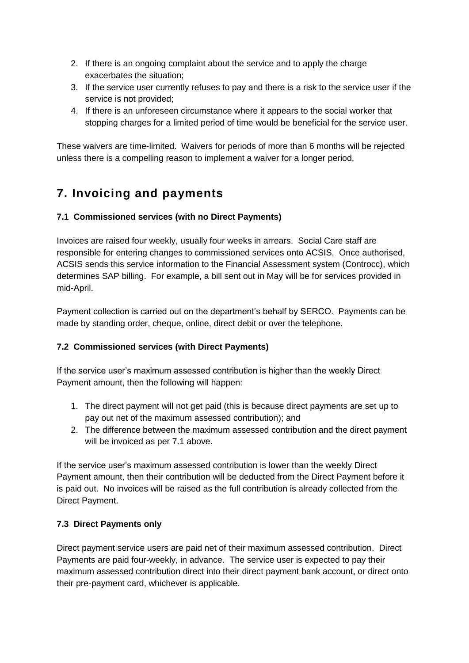- 2. If there is an ongoing complaint about the service and to apply the charge exacerbates the situation;
- 3. If the service user currently refuses to pay and there is a risk to the service user if the service is not provided;
- 4. If there is an unforeseen circumstance where it appears to the social worker that stopping charges for a limited period of time would be beneficial for the service user.

These waivers are time-limited. Waivers for periods of more than 6 months will be rejected unless there is a compelling reason to implement a waiver for a longer period.

### **7. Invoicing and payments**

#### **7.1 Commissioned services (with no Direct Payments)**

Invoices are raised four weekly, usually four weeks in arrears. Social Care staff are responsible for entering changes to commissioned services onto ACSIS. Once authorised, ACSIS sends this service information to the Financial Assessment system (Controcc), which determines SAP billing. For example, a bill sent out in May will be for services provided in mid-April.

Payment collection is carried out on the department's behalf by SERCO. Payments can be made by standing order, cheque, online, direct debit or over the telephone.

#### **7.2 Commissioned services (with Direct Payments)**

If the service user's maximum assessed contribution is higher than the weekly Direct Payment amount, then the following will happen:

- 1. The direct payment will not get paid (this is because direct payments are set up to pay out net of the maximum assessed contribution); and
- 2. The difference between the maximum assessed contribution and the direct payment will be invoiced as per 7.1 above.

If the service user's maximum assessed contribution is lower than the weekly Direct Payment amount, then their contribution will be deducted from the Direct Payment before it is paid out. No invoices will be raised as the full contribution is already collected from the Direct Payment.

#### **7.3 Direct Payments only**

Direct payment service users are paid net of their maximum assessed contribution. Direct Payments are paid four-weekly, in advance. The service user is expected to pay their maximum assessed contribution direct into their direct payment bank account, or direct onto their pre-payment card, whichever is applicable.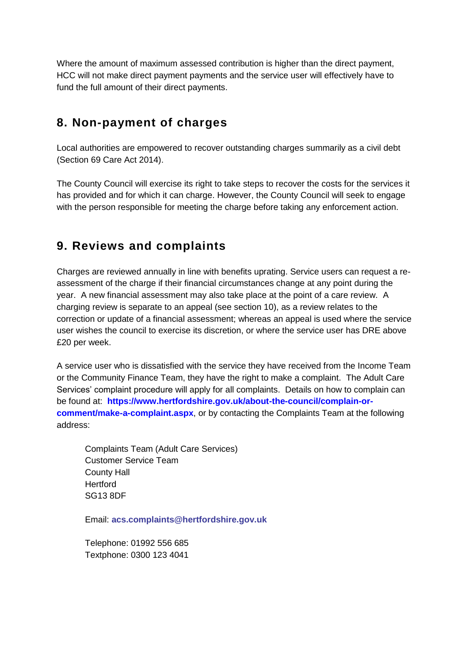Where the amount of maximum assessed contribution is higher than the direct payment, HCC will not make direct payment payments and the service user will effectively have to fund the full amount of their direct payments.

### **8. Non-payment of charges**

Local authorities are empowered to recover outstanding charges summarily as a civil debt (Section 69 Care Act 2014).

The County Council will exercise its right to take steps to recover the costs for the services it has provided and for which it can charge. However, the County Council will seek to engage with the person responsible for meeting the charge before taking any enforcement action.

### **9. Reviews and complaints**

Charges are reviewed annually in line with benefits uprating. Service users can request a reassessment of the charge if their financial circumstances change at any point during the year. A new financial assessment may also take place at the point of a care review. A charging review is separate to an appeal (see section 10), as a review relates to the correction or update of a financial assessment; whereas an appeal is used where the service user wishes the council to exercise its discretion, or where the service user has DRE above £20 per week.

A service user who is dissatisfied with the service they have received from the Income Team or the Community Finance Team, they have the right to make a complaint. The Adult Care Services' complaint procedure will apply for all complaints. Details on how to complain can be found at: **[https://www.hertfordshire.gov.uk/about-the-council/complain-or](https://www.hertfordshire.gov.uk/about-the-council/complain-or-comment/make-a-complaint.aspx)[comment/make-a-complaint.aspx](https://www.hertfordshire.gov.uk/about-the-council/complain-or-comment/make-a-complaint.aspx)**, or by contacting the Complaints Team at the following address:

Complaints Team (Adult Care Services) Customer Service Team County Hall **Hertford** SG13 8DF

Email: **[acs.complaints@hertfordshire.gov.uk](mailto:acs.complaints@hertfordshire.gov.uk)**

Telephone: 01992 556 685 Textphone: 0300 123 4041